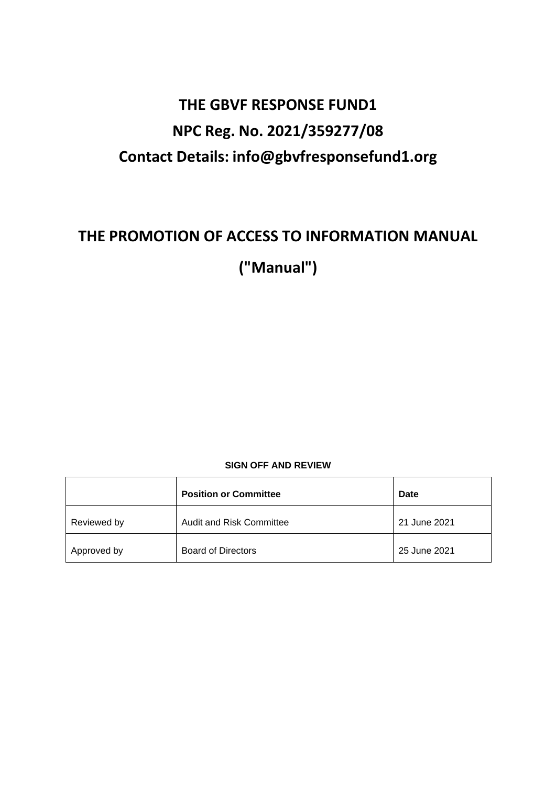# **THE GBVF RESPONSE FUND1 NPC Reg. No. 2021/359277/08 Contact Details: [info@gbvfresponsefund1.org](mailto:info@gbvfresponsefund1.org)**

## **THE PROMOTION OF ACCESS TO INFORMATION MANUAL**

**("Manual")**

#### **SIGN OFF AND REVIEW**

|             | <b>Position or Committee</b> | Date         |
|-------------|------------------------------|--------------|
| Reviewed by | Audit and Risk Committee     | 21 June 2021 |
| Approved by | <b>Board of Directors</b>    | 25 June 2021 |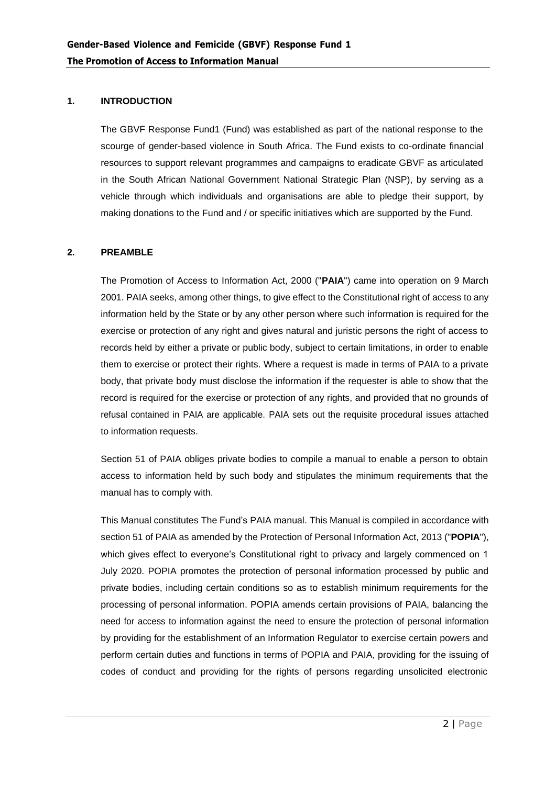#### **1. INTRODUCTION**

The GBVF Response Fund1 (Fund) was established as part of the national response to the scourge of gender-based violence in South Africa. The Fund exists to co-ordinate financial resources to support relevant programmes and campaigns to eradicate GBVF as articulated in the South African National Government National Strategic Plan (NSP), by serving as a vehicle through which individuals and organisations are able to pledge their support, by making donations to the Fund and / or specific initiatives which are supported by the Fund.

#### **2. PREAMBLE**

The Promotion of Access to Information Act, 2000 ("**PAIA**") came into operation on 9 March 2001. PAIA seeks, among other things, to give effect to the Constitutional right of access to any information held by the State or by any other person where such information is required for the exercise or protection of any right and gives natural and juristic persons the right of access to records held by either a private or public body, subject to certain limitations, in order to enable them to exercise or protect their rights. Where a request is made in terms of PAIA to a private body, that private body must disclose the information if the requester is able to show that the record is required for the exercise or protection of any rights, and provided that no grounds of refusal contained in PAIA are applicable. PAIA sets out the requisite procedural issues attached to information requests.

Section 51 of PAIA obliges private bodies to compile a manual to enable a person to obtain access to information held by such body and stipulates the minimum requirements that the manual has to comply with.

This Manual constitutes The Fund's PAIA manual. This Manual is compiled in accordance with section 51 of PAIA as amended by the Protection of Personal Information Act, 2013 ("**POPIA**"), which gives effect to everyone's Constitutional right to privacy and largely commenced on 1 July 2020. POPIA promotes the protection of personal information processed by public and private bodies, including certain conditions so as to establish minimum requirements for the processing of personal information. POPIA amends certain provisions of PAIA, balancing the need for access to information against the need to ensure the protection of personal information by providing for the establishment of an Information Regulator to exercise certain powers and perform certain duties and functions in terms of POPIA and PAIA, providing for the issuing of codes of conduct and providing for the rights of persons regarding unsolicited electronic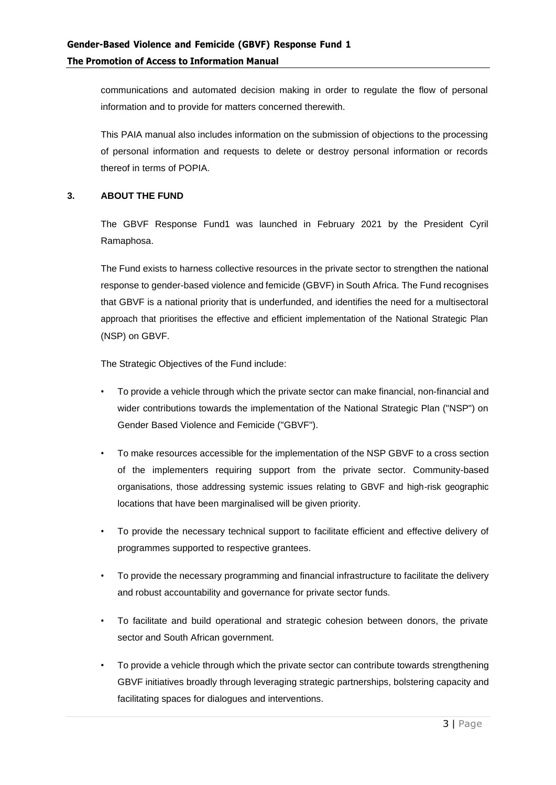communications and automated decision making in order to regulate the flow of personal information and to provide for matters concerned therewith.

This PAIA manual also includes information on the submission of objections to the processing of personal information and requests to delete or destroy personal information or records thereof in terms of POPIA.

#### **3. ABOUT THE FUND**

The GBVF Response Fund1 was launched in February 2021 by the President Cyril Ramaphosa.

The Fund exists to harness collective resources in the private sector to strengthen the national response to gender-based violence and femicide (GBVF) in South Africa. The Fund recognises that GBVF is a national priority that is underfunded, and identifies the need for a multisectoral approach that prioritises the effective and efficient implementation of the National Strategic Plan (NSP) on GBVF.

The Strategic Objectives of the Fund include:

- To provide a vehicle through which the private sector can make financial, non-financial and wider contributions towards the implementation of the National Strategic Plan ("NSP") on Gender Based Violence and Femicide ("GBVF").
- To make resources accessible for the implementation of the NSP GBVF to a cross section of the implementers requiring support from the private sector. Community-based organisations, those addressing systemic issues relating to GBVF and high-risk geographic locations that have been marginalised will be given priority.
- To provide the necessary technical support to facilitate efficient and effective delivery of programmes supported to respective grantees.
- To provide the necessary programming and financial infrastructure to facilitate the delivery and robust accountability and governance for private sector funds.
- To facilitate and build operational and strategic cohesion between donors, the private sector and South African government.
- To provide a vehicle through which the private sector can contribute towards strengthening GBVF initiatives broadly through leveraging strategic partnerships, bolstering capacity and facilitating spaces for dialogues and interventions.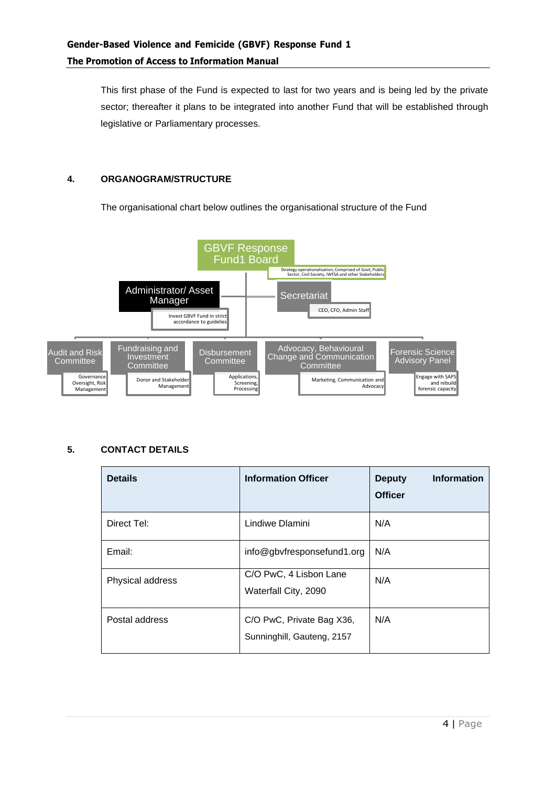This first phase of the Fund is expected to last for two years and is being led by the private sector; thereafter it plans to be integrated into another Fund that will be established through legislative or Parliamentary processes.

#### **4. ORGANOGRAM/STRUCTURE**

The organisational chart below outlines the organisational structure of the Fund



#### **5. CONTACT DETAILS**

| <b>Details</b>   | <b>Information Officer</b>                              | <b>Information</b><br><b>Deputy</b><br><b>Officer</b> |
|------------------|---------------------------------------------------------|-------------------------------------------------------|
| Direct Tel:      | Lindiwe Dlamini                                         | N/A                                                   |
| Email:           | info@gbvfresponsefund1.org                              | N/A                                                   |
| Physical address | C/O PwC, 4 Lisbon Lane<br>Waterfall City, 2090          | N/A                                                   |
| Postal address   | C/O PwC, Private Bag X36,<br>Sunninghill, Gauteng, 2157 | N/A                                                   |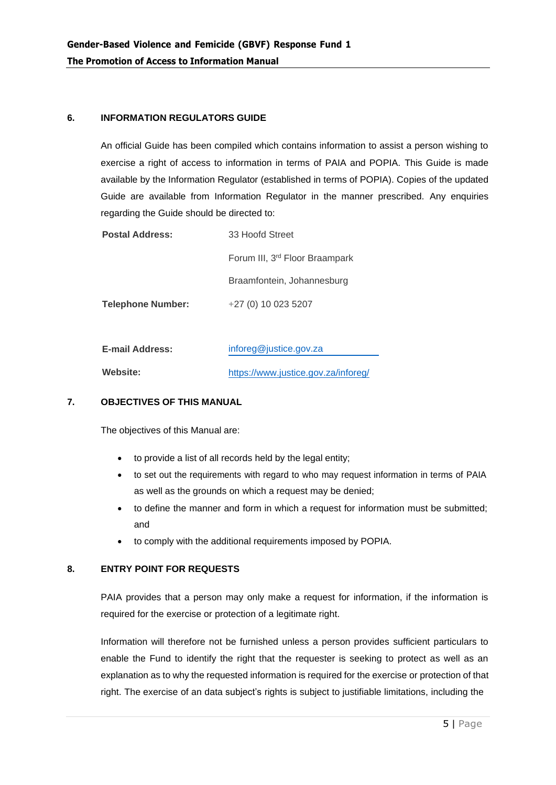#### **6. INFORMATION REGULATORS GUIDE**

An official Guide has been compiled which contains information to assist a person wishing to exercise a right of access to information in terms of PAIA and POPIA. This Guide is made available by the Information Regulator (established in terms of POPIA). Copies of the updated Guide are available from Information Regulator in the manner prescribed. Any enquiries regarding the Guide should be directed to:

| <b>Postal Address:</b>   | 33 Hoofd Street                            |
|--------------------------|--------------------------------------------|
|                          | Forum III, 3 <sup>rd</sup> Floor Braampark |
|                          | Braamfontein, Johannesburg                 |
| <b>Telephone Number:</b> | +27 (0) 10 023 5207                        |
|                          |                                            |

| <b>E-mail Address:</b> | inforeg@justice.gov.za              |  |  |  |
|------------------------|-------------------------------------|--|--|--|
| <b>Website:</b>        | https://www.justice.gov.za/inforeg/ |  |  |  |
|                        |                                     |  |  |  |

#### **7. OBJECTIVES OF THIS MANUAL**

The objectives of this Manual are:

- to provide a list of all records held by the legal entity;
- to set out the requirements with regard to who may request information in terms of PAIA as well as the grounds on which a request may be denied;
- to define the manner and form in which a request for information must be submitted; and
- to comply with the additional requirements imposed by POPIA.

#### **8. ENTRY POINT FOR REQUESTS**

PAIA provides that a person may only make a request for information, if the information is required for the exercise or protection of a legitimate right.

Information will therefore not be furnished unless a person provides sufficient particulars to enable the Fund to identify the right that the requester is seeking to protect as well as an explanation as to why the requested information is required for the exercise or protection of that right. The exercise of an data subject's rights is subject to justifiable limitations, including the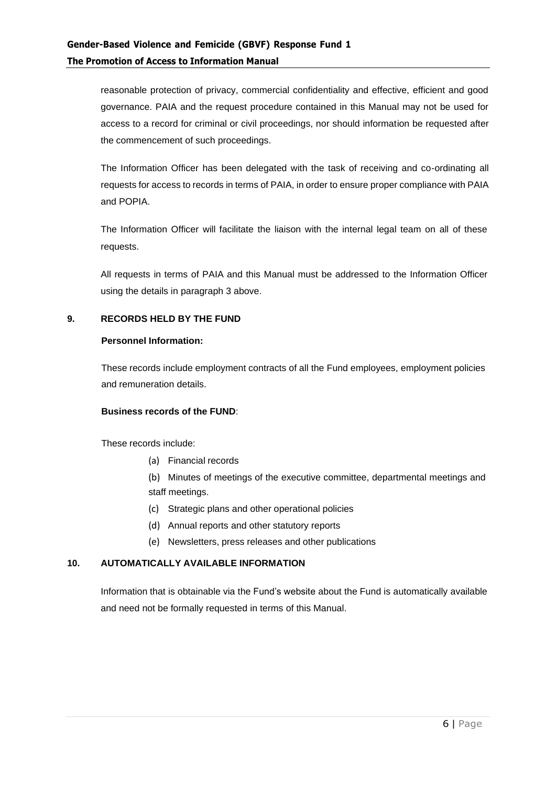reasonable protection of privacy, commercial confidentiality and effective, efficient and good governance. PAIA and the request procedure contained in this Manual may not be used for access to a record for criminal or civil proceedings, nor should information be requested after the commencement of such proceedings.

The Information Officer has been delegated with the task of receiving and co-ordinating all requests for access to records in terms of PAIA, in order to ensure proper compliance with PAIA and POPIA.

The Information Officer will facilitate the liaison with the internal legal team on all of these requests.

All requests in terms of PAIA and this Manual must be addressed to the Information Officer using the details in paragraph 3 above.

#### **9. RECORDS HELD BY THE FUND**

#### **Personnel Information:**

These records include employment contracts of all the Fund employees, employment policies and remuneration details.

#### **Business records of the FUND**:

These records include:

(a) Financial records

(b) Minutes of meetings of the executive committee, departmental meetings and staff meetings.

- (c) Strategic plans and other operational policies
- (d) Annual reports and other statutory reports
- (e) Newsletters, press releases and other publications

#### **10. AUTOMATICALLY AVAILABLE INFORMATION**

Information that is obtainable via the Fund's website about the Fund is automatically available and need not be formally requested in terms of this Manual.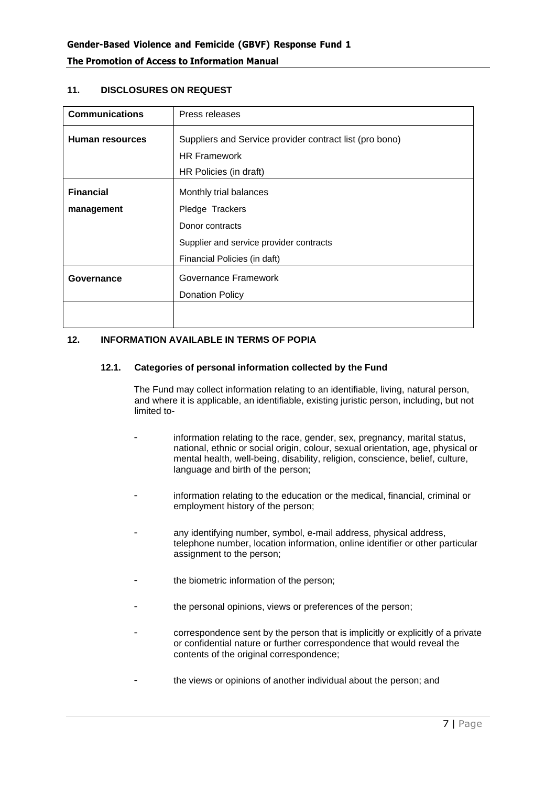| <b>Communications</b>  | Press releases                                          |  |  |  |  |  |  |
|------------------------|---------------------------------------------------------|--|--|--|--|--|--|
| <b>Human resources</b> | Suppliers and Service provider contract list (pro bono) |  |  |  |  |  |  |
|                        | <b>HR Framework</b>                                     |  |  |  |  |  |  |
|                        | HR Policies (in draft)                                  |  |  |  |  |  |  |
| <b>Financial</b>       | Monthly trial balances                                  |  |  |  |  |  |  |
| management             | Pledge Trackers                                         |  |  |  |  |  |  |
|                        | Donor contracts                                         |  |  |  |  |  |  |
|                        | Supplier and service provider contracts                 |  |  |  |  |  |  |
|                        | Financial Policies (in daft)                            |  |  |  |  |  |  |
| Governance             | Governance Framework                                    |  |  |  |  |  |  |
|                        | <b>Donation Policy</b>                                  |  |  |  |  |  |  |
|                        |                                                         |  |  |  |  |  |  |

#### **11. DISCLOSURES ON REQUEST**

#### **12. INFORMATION AVAILABLE IN TERMS OF POPIA**

#### **12.1. Categories of personal information collected by the Fund**

The Fund may collect information relating to an identifiable, living, natural person, and where it is applicable, an identifiable, existing juristic person, including, but not limited to-

- information relating to the race, gender, sex, pregnancy, marital status, national, ethnic or social origin, colour, sexual orientation, age, physical or mental health, well-being, disability, religion, conscience, belief, culture, language and birth of the person;
- information relating to the education or the medical, financial, criminal or employment history of the person;
- any identifying number, symbol, e-mail address, physical address, telephone number, location information, online identifier or other particular assignment to the person;
- the biometric information of the person;
- the personal opinions, views or preferences of the person;
- correspondence sent by the person that is implicitly or explicitly of a private or confidential nature or further correspondence that would reveal the contents of the original correspondence;
- the views or opinions of another individual about the person; and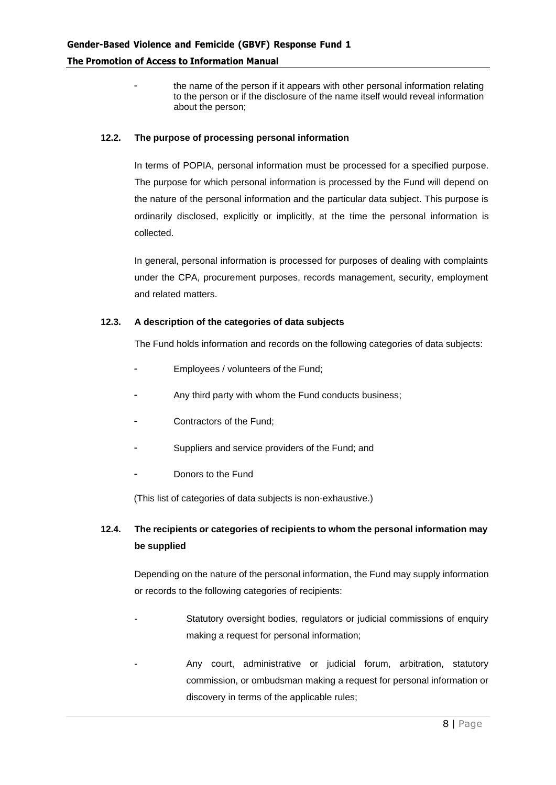the name of the person if it appears with other personal information relating to the person or if the disclosure of the name itself would reveal information about the person;

#### **12.2. The purpose of processing personal information**

In terms of POPIA, personal information must be processed for a specified purpose. The purpose for which personal information is processed by the Fund will depend on the nature of the personal information and the particular data subject. This purpose is ordinarily disclosed, explicitly or implicitly, at the time the personal information is collected.

In general, personal information is processed for purposes of dealing with complaints under the CPA, procurement purposes, records management, security, employment and related matters.

#### **12.3. A description of the categories of data subjects**

The Fund holds information and records on the following categories of data subjects:

- Employees / volunteers of the Fund;
- Any third party with whom the Fund conducts business;
- Contractors of the Fund;
- Suppliers and service providers of the Fund; and
- Donors to the Fund

(This list of categories of data subjects is non-exhaustive.)

## **12.4. The recipients or categories of recipients to whom the personal information may be supplied**

Depending on the nature of the personal information, the Fund may supply information or records to the following categories of recipients:

- Statutory oversight bodies, regulators or judicial commissions of enquiry making a request for personal information;
- Any court, administrative or judicial forum, arbitration, statutory commission, or ombudsman making a request for personal information or discovery in terms of the applicable rules;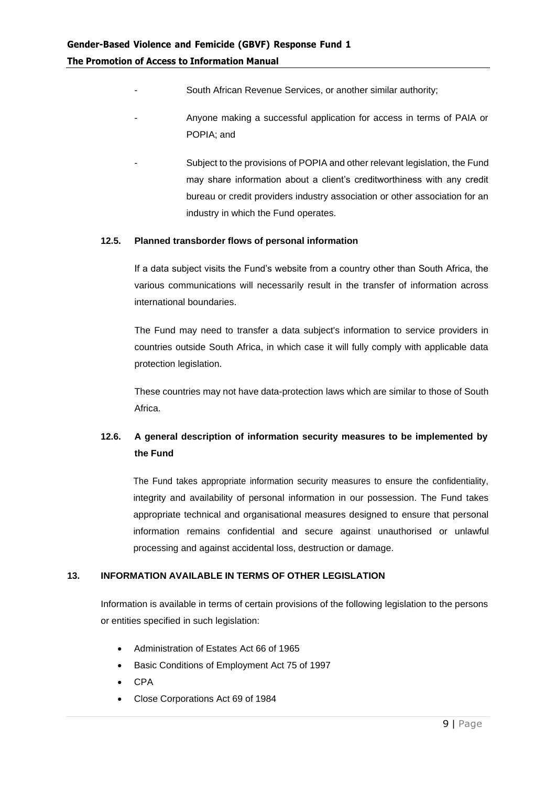- South African Revenue Services, or another similar authority;
- Anyone making a successful application for access in terms of PAIA or POPIA; and
	- Subject to the provisions of POPIA and other relevant legislation, the Fund may share information about a client's creditworthiness with any credit bureau or credit providers industry association or other association for an industry in which the Fund operates.

#### **12.5. Planned transborder flows of personal information**

If a data subject visits the Fund's website from a country other than South Africa, the various communications will necessarily result in the transfer of information across international boundaries.

The Fund may need to transfer a data subject's information to service providers in countries outside South Africa, in which case it will fully comply with applicable data protection legislation.

These countries may not have data-protection laws which are similar to those of South Africa.

## **12.6. A general description of information security measures to be implemented by the Fund**

The Fund takes appropriate information security measures to ensure the confidentiality, integrity and availability of personal information in our possession. The Fund takes appropriate technical and organisational measures designed to ensure that personal information remains confidential and secure against unauthorised or unlawful processing and against accidental loss, destruction or damage.

#### **13. INFORMATION AVAILABLE IN TERMS OF OTHER LEGISLATION**

Information is available in terms of certain provisions of the following legislation to the persons or entities specified in such legislation:

- Administration of Estates Act 66 of 1965
- Basic Conditions of Employment Act 75 of 1997
- CPA
- Close Corporations Act 69 of 1984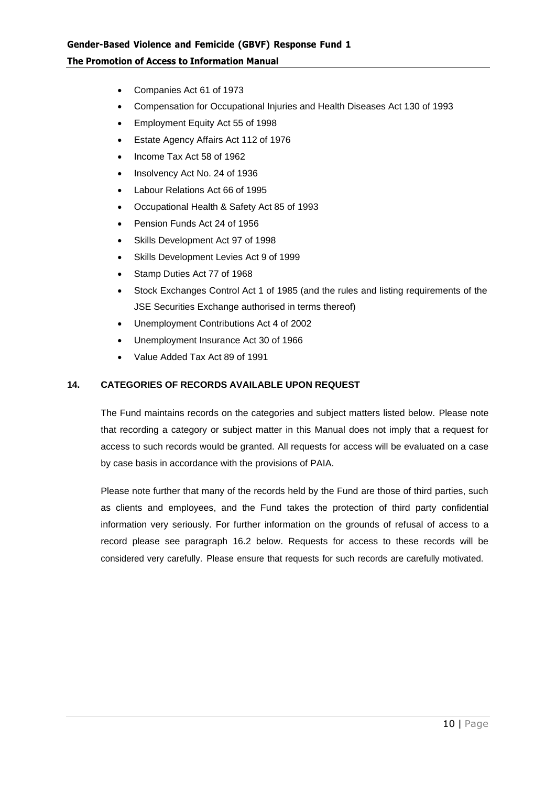- Companies Act 61 of 1973
- Compensation for Occupational Injuries and Health Diseases Act 130 of 1993
- Employment Equity Act 55 of 1998
- Estate Agency Affairs Act 112 of 1976
- Income Tax Act 58 of 1962
- Insolvency Act No. 24 of 1936
- Labour Relations Act 66 of 1995
- Occupational Health & Safety Act 85 of 1993
- Pension Funds Act 24 of 1956
- Skills Development Act 97 of 1998
- Skills Development Levies Act 9 of 1999
- Stamp Duties Act 77 of 1968
- Stock Exchanges Control Act 1 of 1985 (and the rules and listing requirements of the JSE Securities Exchange authorised in terms thereof)
- Unemployment Contributions Act 4 of 2002
- Unemployment Insurance Act 30 of 1966
- Value Added Tax Act 89 of 1991

#### **14. CATEGORIES OF RECORDS AVAILABLE UPON REQUEST**

The Fund maintains records on the categories and subject matters listed below. Please note that recording a category or subject matter in this Manual does not imply that a request for access to such records would be granted. All requests for access will be evaluated on a case by case basis in accordance with the provisions of PAIA.

Please note further that many of the records held by the Fund are those of third parties, such as clients and employees, and the Fund takes the protection of third party confidential information very seriously. For further information on the grounds of refusal of access to a record please see paragraph [16.2](#page-13-0) below. Requests for access to these records will be considered very carefully. Please ensure that requests for such records are carefully motivated.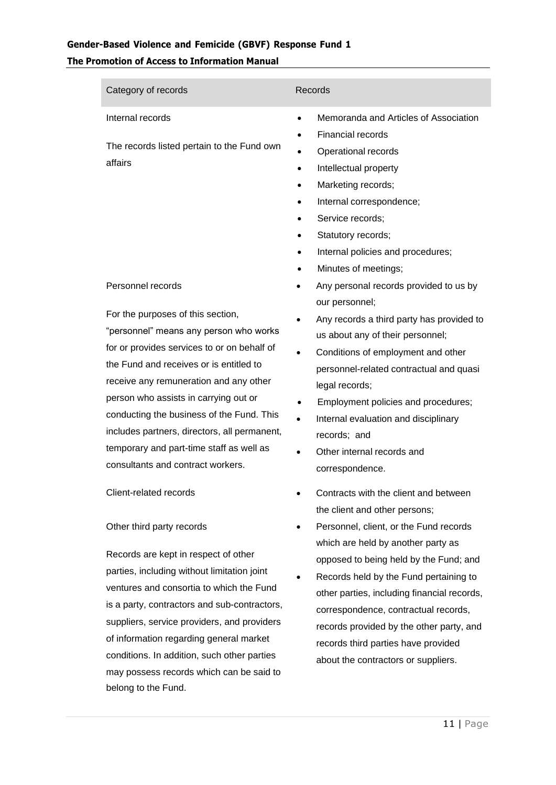## **Gender-Based Violence and Femicide (GBVF) Response Fund 1 The Promotion of Access to Information Manual**

| Category of records                                                                                                                                                                                                                                                                                                                                                                                                                    | Records                                                                                                                                                                                                                                                                                                                                                                 |
|----------------------------------------------------------------------------------------------------------------------------------------------------------------------------------------------------------------------------------------------------------------------------------------------------------------------------------------------------------------------------------------------------------------------------------------|-------------------------------------------------------------------------------------------------------------------------------------------------------------------------------------------------------------------------------------------------------------------------------------------------------------------------------------------------------------------------|
| Internal records<br>The records listed pertain to the Fund own<br>affairs                                                                                                                                                                                                                                                                                                                                                              | Memoranda and Articles of Association<br><b>Financial records</b><br>Operational records<br>Intellectual property<br>Marketing records;<br>Internal correspondence;<br>Service records;<br>Statutory records;<br>Internal policies and procedures;<br>Minutes of meetings;                                                                                              |
| Personnel records                                                                                                                                                                                                                                                                                                                                                                                                                      | Any personal records provided to us by<br>our personnel;                                                                                                                                                                                                                                                                                                                |
| For the purposes of this section,<br>"personnel" means any person who works<br>for or provides services to or on behalf of<br>the Fund and receives or is entitled to<br>receive any remuneration and any other<br>person who assists in carrying out or<br>conducting the business of the Fund. This<br>includes partners, directors, all permanent,<br>temporary and part-time staff as well as<br>consultants and contract workers. | Any records a third party has provided to<br>us about any of their personnel;<br>Conditions of employment and other<br>personnel-related contractual and quasi<br>legal records;<br>Employment policies and procedures;<br>$\bullet$<br>Internal evaluation and disciplinary<br>$\bullet$<br>records; and<br>Other internal records and<br>$\bullet$<br>correspondence. |
| Client-related records                                                                                                                                                                                                                                                                                                                                                                                                                 | Contracts with the client and between<br>the client and other persons;                                                                                                                                                                                                                                                                                                  |
| Other third party records<br>Records are kept in respect of other                                                                                                                                                                                                                                                                                                                                                                      | Personnel, client, or the Fund records<br>which are held by another party as<br>annopod to boing hold by the Eund: and                                                                                                                                                                                                                                                  |

parties, including without limitation joint ventures and consortia to which the Fund is a party, contractors and sub-contractors, suppliers, service providers, and providers of information regarding general market conditions. In addition, such other parties may possess records which can be said to belong to the Fund. opposed to being held by the Fund; and

• Records held by the Fund pertaining to other parties, including financial records, correspondence, contractual records, records provided by the other party, and records third parties have provided about the contractors or suppliers.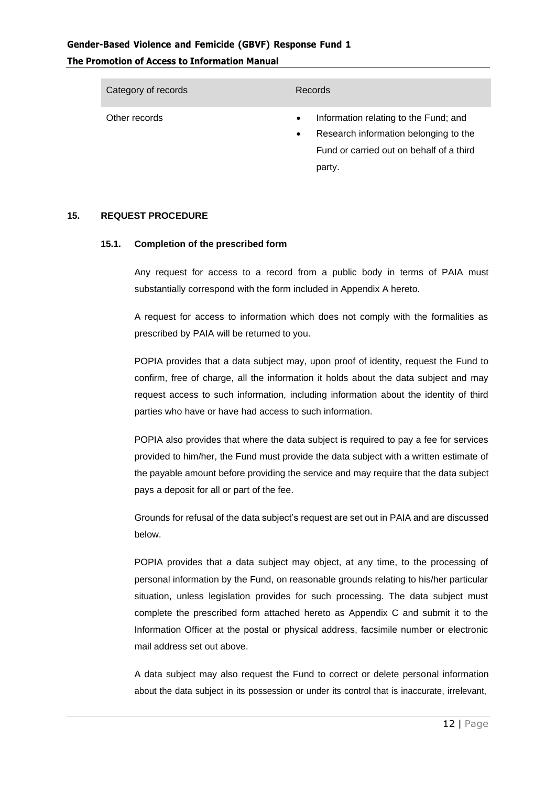| Category of records | Records                                                                                                                                                        |
|---------------------|----------------------------------------------------------------------------------------------------------------------------------------------------------------|
| Other records       | Information relating to the Fund; and<br>$\bullet$<br>Research information belonging to the<br>$\bullet$<br>Fund or carried out on behalf of a third<br>party. |

#### **15. REQUEST PROCEDURE**

#### **15.1. Completion of the prescribed form**

Any request for access to a record from a public body in terms of PAIA must substantially correspond with the form included in Appendix A hereto.

A request for access to information which does not comply with the formalities as prescribed by PAIA will be returned to you.

POPIA provides that a data subject may, upon proof of identity, request the Fund to confirm, free of charge, all the information it holds about the data subject and may request access to such information, including information about the identity of third parties who have or have had access to such information.

POPIA also provides that where the data subject is required to pay a fee for services provided to him/her, the Fund must provide the data subject with a written estimate of the payable amount before providing the service and may require that the data subject pays a deposit for all or part of the fee.

Grounds for refusal of the data subject's request are set out in PAIA and are discussed below.

POPIA provides that a data subject may object, at any time, to the processing of personal information by the Fund, on reasonable grounds relating to his/her particular situation, unless legislation provides for such processing. The data subject must complete the prescribed form attached hereto as Appendix C and submit it to the Information Officer at the postal or physical address, facsimile number or electronic mail address set out above.

A data subject may also request the Fund to correct or delete personal information about the data subject in its possession or under its control that is inaccurate, irrelevant,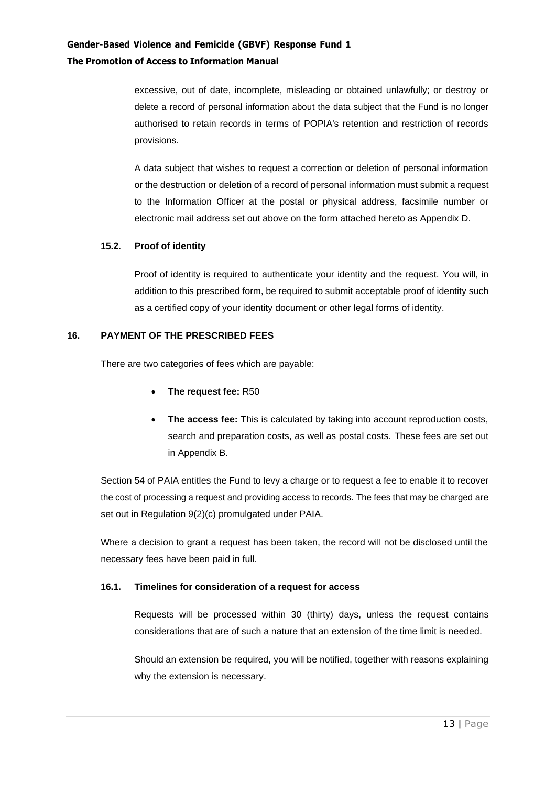excessive, out of date, incomplete, misleading or obtained unlawfully; or destroy or delete a record of personal information about the data subject that the Fund is no longer authorised to retain records in terms of POPIA's retention and restriction of records provisions.

A data subject that wishes to request a correction or deletion of personal information or the destruction or deletion of a record of personal information must submit a request to the Information Officer at the postal or physical address, facsimile number or electronic mail address set out above on the form attached hereto as Appendix D.

#### **15.2. Proof of identity**

Proof of identity is required to authenticate your identity and the request. You will, in addition to this prescribed form, be required to submit acceptable proof of identity such as a certified copy of your identity document or other legal forms of identity.

#### **16. PAYMENT OF THE PRESCRIBED FEES**

There are two categories of fees which are payable:

- **The request fee:** R50
- **The access fee:** This is calculated by taking into account reproduction costs, search and preparation costs, as well as postal costs. These fees are set out in Appendix B.

Section 54 of PAIA entitles the Fund to levy a charge or to request a fee to enable it to recover the cost of processing a request and providing access to records. The fees that may be charged are set out in Regulation 9(2)(c) promulgated under PAIA.

Where a decision to grant a request has been taken, the record will not be disclosed until the necessary fees have been paid in full.

#### **16.1. Timelines for consideration of a request for access**

Requests will be processed within 30 (thirty) days, unless the request contains considerations that are of such a nature that an extension of the time limit is needed.

Should an extension be required, you will be notified, together with reasons explaining why the extension is necessary.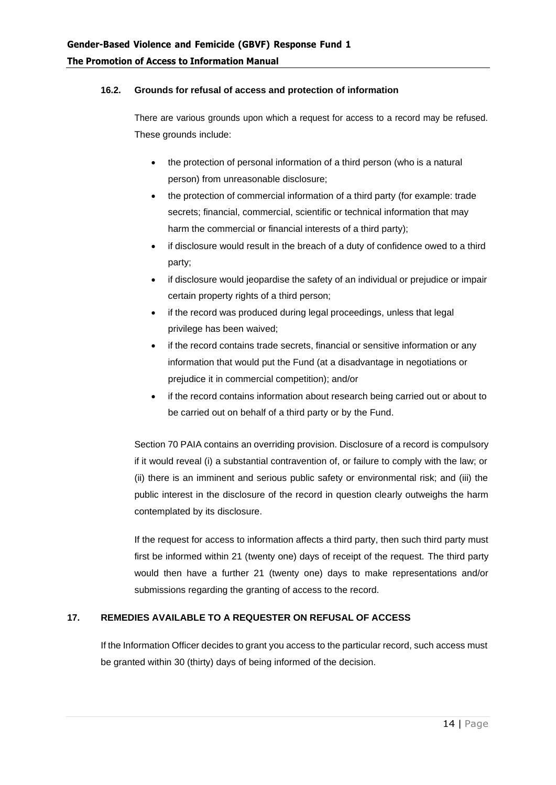#### <span id="page-13-0"></span>**16.2. Grounds for refusal of access and protection of information**

There are various grounds upon which a request for access to a record may be refused. These grounds include:

- the protection of personal information of a third person (who is a natural person) from unreasonable disclosure;
- the protection of commercial information of a third party (for example: trade secrets; financial, commercial, scientific or technical information that may harm the commercial or financial interests of a third party);
- if disclosure would result in the breach of a duty of confidence owed to a third party;
- if disclosure would jeopardise the safety of an individual or prejudice or impair certain property rights of a third person;
- if the record was produced during legal proceedings, unless that legal privilege has been waived;
- if the record contains trade secrets, financial or sensitive information or any information that would put the Fund (at a disadvantage in negotiations or prejudice it in commercial competition); and/or
- if the record contains information about research being carried out or about to be carried out on behalf of a third party or by the Fund.

Section 70 PAIA contains an overriding provision. Disclosure of a record is compulsory if it would reveal (i) a substantial contravention of, or failure to comply with the law; or (ii) there is an imminent and serious public safety or environmental risk; and (iii) the public interest in the disclosure of the record in question clearly outweighs the harm contemplated by its disclosure.

If the request for access to information affects a third party, then such third party must first be informed within 21 (twenty one) days of receipt of the request. The third party would then have a further 21 (twenty one) days to make representations and/or submissions regarding the granting of access to the record.

#### **17. REMEDIES AVAILABLE TO A REQUESTER ON REFUSAL OF ACCESS**

If the Information Officer decides to grant you access to the particular record, such access must be granted within 30 (thirty) days of being informed of the decision.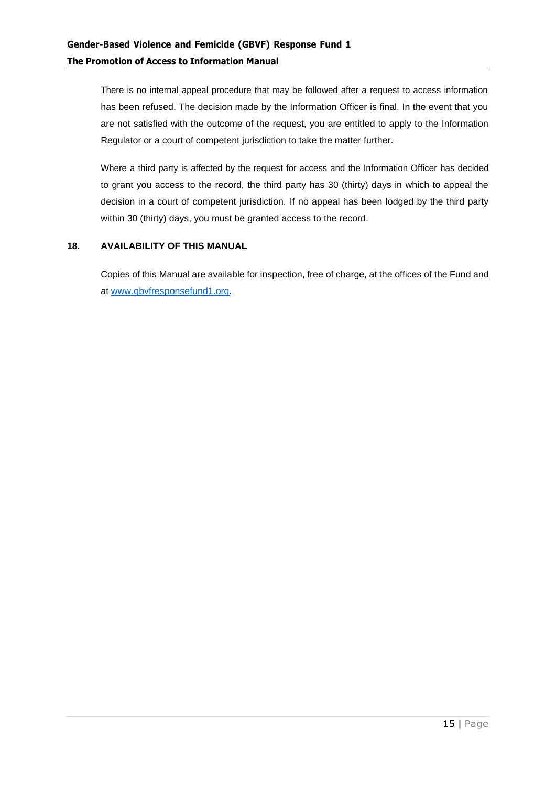There is no internal appeal procedure that may be followed after a request to access information has been refused. The decision made by the Information Officer is final. In the event that you are not satisfied with the outcome of the request, you are entitled to apply to the Information Regulator or a court of competent jurisdiction to take the matter further.

Where a third party is affected by the request for access and the Information Officer has decided to grant you access to the record, the third party has 30 (thirty) days in which to appeal the decision in a court of competent jurisdiction. If no appeal has been lodged by the third party within 30 (thirty) days, you must be granted access to the record.

#### **18. AVAILABILITY OF THIS MANUAL**

Copies of this Manual are available for inspection, free of charge, at the offices of the Fund and at [www.gbvfresponsefund1.org.](http://www.gbvfresponsefund1.org/)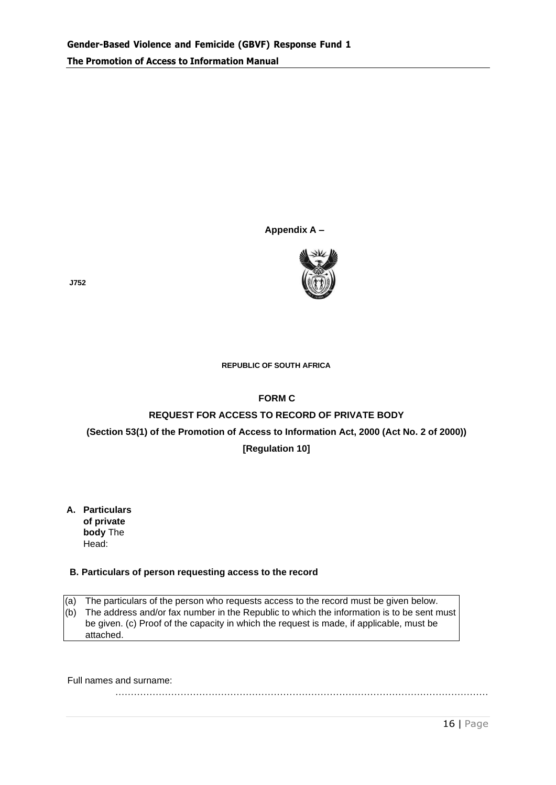#### **Appendix A –**



**J752**

#### **REPUBLIC OF SOUTH AFRICA**

#### **FORM C**

#### **REQUEST FOR ACCESS TO RECORD OF PRIVATE BODY**

#### **(Section 53(1) of the Promotion of Access to Information Act, 2000 (Act No. 2 of 2000))**

#### **[Regulation 10]**

**A. Particulars of private body** The Head:

#### **B. Particulars of person requesting access to the record**

(a) The particulars of the person who requests access to the record must be given below.

(b) The address and/or fax number in the Republic to which the information is to be sent must be given. (c) Proof of the capacity in which the request is made, if applicable, must be attached.

…………………………………………………………………………………………………………

Full names and surname:

16 | Page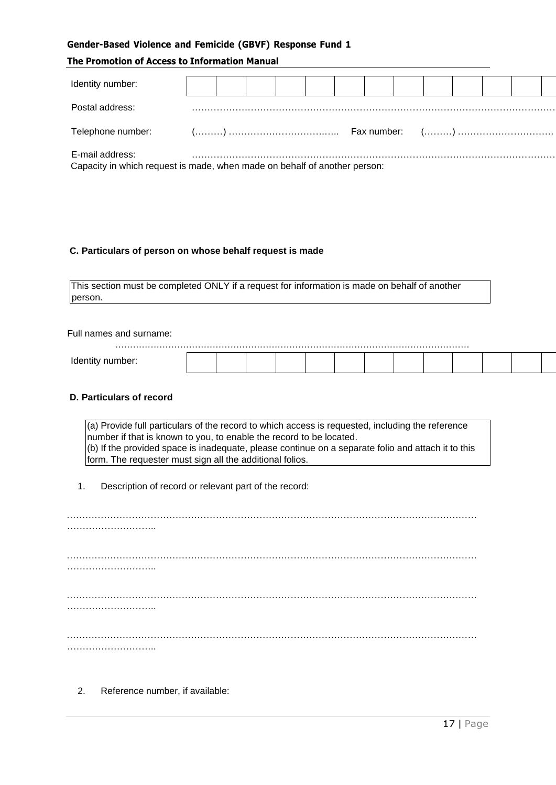#### **Gender-Based Violence and Femicide (GBVF) Response Fund 1**

#### **The Promotion of Access to Information Manual**

| Identity number:                                                                             |  |  |  |  |  |  |  |
|----------------------------------------------------------------------------------------------|--|--|--|--|--|--|--|
| Postal address:                                                                              |  |  |  |  |  |  |  |
|                                                                                              |  |  |  |  |  |  |  |
| E-mail address:<br>Capacity in which request is made, when made on behalf of another person: |  |  |  |  |  |  |  |

#### **C. Particulars of person on whose behalf request is made**

This section must be completed ONLY if a request for information is made on behalf of another person.

Full names and surname:

#### **D. Particulars of record**

(a) Provide full particulars of the record to which access is requested, including the reference number if that is known to you, to enable the record to be located. (b) If the provided space is inadequate, please continue on a separate folio and attach it to this form. The requester must sign all the additional folios.

1. Description of record or relevant part of the record:

2. Reference number, if available: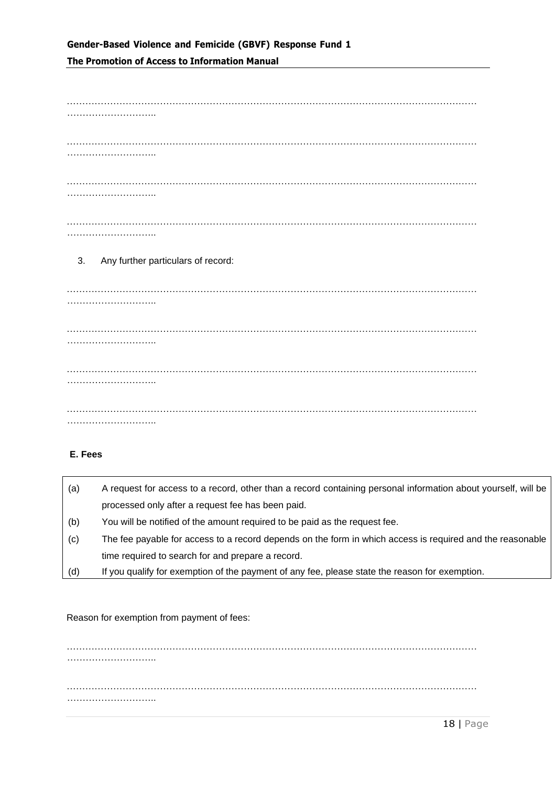## **Gender-Based Violence and Femicide (GBVF) Response Fund 1 The Promotion of Access to Information Manual**

…………………………………………………………………………………………………………………… ……………………….. …………………………………………………………………………………………………………………… ……………………….. …………………………………………………………………………………………………………………… ……………………….. …………………………………………………………………………………………………………………… ……………………….. 3. Any further particulars of record: …………………………………………………………………………………………………………………… ……………………………… …………………………………………………………………………………………………………………… ………………………………

…………………………………………………………………………………………………………………… ………………………..

…………………………………………………………………………………………………………………… ………………………..

#### **E. Fees**

| (a) | A request for access to a record, other than a record containing personal information about yourself, will be |
|-----|---------------------------------------------------------------------------------------------------------------|
|     | processed only after a request fee has been paid.                                                             |
| (b) | You will be notified of the amount required to be paid as the request fee.                                    |
| (c) | The fee payable for access to a record depends on the form in which access is required and the reasonable     |
|     | time required to search for and prepare a record.                                                             |
| (d) | If you qualify for exemption of the payment of any fee, please state the reason for exemption.                |

#### Reason for exemption from payment of fees:

…………………………………………………………………………………………………………………… ……………………….. …………………………………………………………………………………………………………………… ………………………..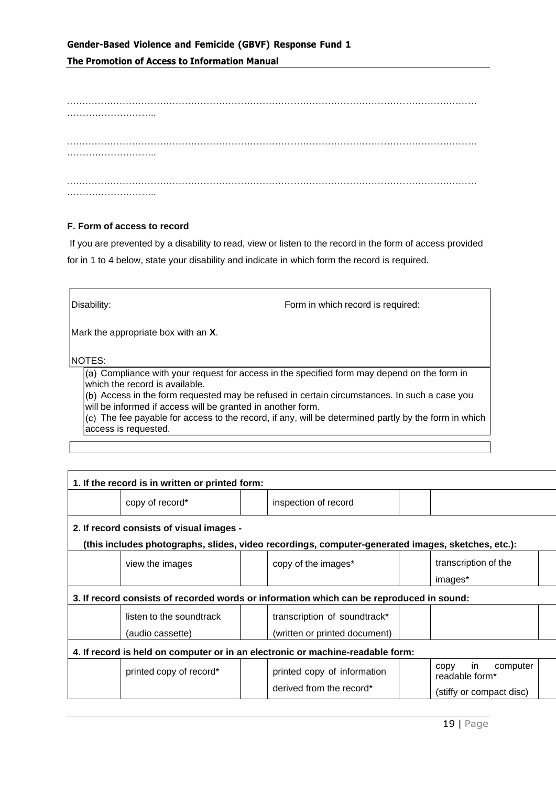## **Gender-Based Violence and Femicide (GBVF) Response Fund 1 The Promotion of Access to Information Manual**

#### **F. Form of access to record**

If you are prevented by a disability to read, view or listen to the record in the form of access provided for in 1 to 4 below, state your disability and indicate in which form the record is required.

| Disability:                                                 | Form in which record is required:                                                                    |
|-------------------------------------------------------------|------------------------------------------------------------------------------------------------------|
| Mark the appropriate box with an X.                         |                                                                                                      |
| <b>NOTES:</b>                                               |                                                                                                      |
| which the record is available.                              | (a) Compliance with your request for access in the specified form may depend on the form in          |
| will be informed if access will be granted in another form. | (b) Access in the form requested may be refused in certain circumstances. In such a case you         |
| access is requested.                                        | (c) The fee payable for access to the record, if any, will be determined partly by the form in which |
|                                                             |                                                                                                      |

| 1. If the record is in written or printed form: |                                                                                                   |                                          |  |
|-------------------------------------------------|---------------------------------------------------------------------------------------------------|------------------------------------------|--|
| copy of record*                                 | inspection of record                                                                              |                                          |  |
| 2. If record consists of visual images -        |                                                                                                   |                                          |  |
|                                                 | (this includes photographs, slides, video recordings, computer-generated images, sketches, etc.): |                                          |  |
| view the images                                 | copy of the images*                                                                               | transcription of the                     |  |
|                                                 |                                                                                                   | images*                                  |  |
|                                                 | 3. If record consists of recorded words or information which can be reproduced in sound:          |                                          |  |
| listen to the soundtrack                        | transcription of soundtrack*                                                                      |                                          |  |
| (audio cassette)                                | (written or printed document)                                                                     |                                          |  |
|                                                 | 4. If record is held on computer or in an electronic or machine-readable form:                    |                                          |  |
| printed copy of record*                         | printed copy of information                                                                       | computer<br>in<br>CODV<br>readable form* |  |
|                                                 | derived from the record*                                                                          | (stiffy or compact disc)                 |  |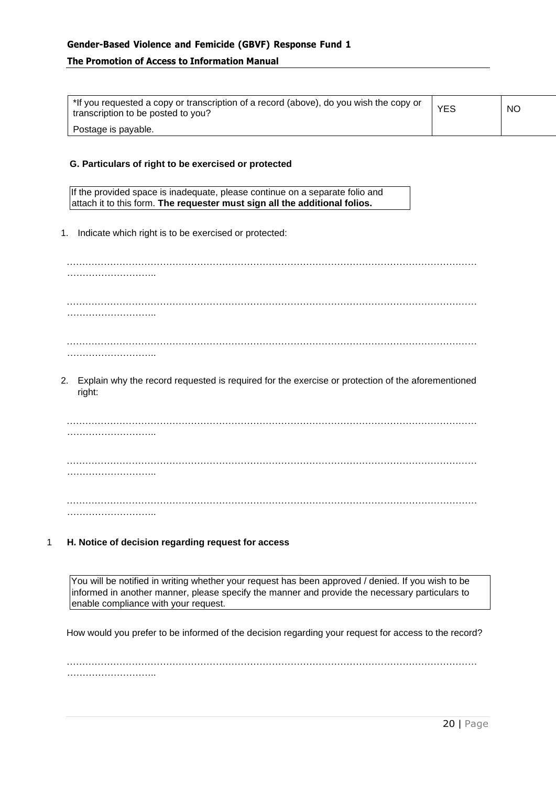| *If you requested a copy or transcription of a record (above), do you wish the copy or<br>transcription to be posted to you? | <b>YES</b> | <b>NO</b> |
|------------------------------------------------------------------------------------------------------------------------------|------------|-----------|
| Postage is payable.                                                                                                          |            |           |

#### **G. Particulars of right to be exercised or protected**

If the provided space is inadequate, please continue on a separate folio and attach it to this form. **The requester must sign all the additional folios.**

1. Indicate which right is to be exercised or protected:

…………………………………………………………………………………………………………………… ……………………….. …………………………………………………………………………………………………………………… ………………………………… …………………………………………………………………………………………………………………… ………………………..

2. Explain why the record requested is required for the exercise or protection of the aforementioned right:

…………………………………………………………………………………………………………………… ……………………….. …………………………………………………………………………………………………………………… ……………………….. …………………………………………………………………………………………………………………… ………………………..

1 **H. Notice of decision regarding request for access**

You will be notified in writing whether your request has been approved / denied. If you wish to be informed in another manner, please specify the manner and provide the necessary particulars to enable compliance with your request.

How would you prefer to be informed of the decision regarding your request for access to the record?

 $\mathcal{L}^{\text{max}}_{\text{max}}$ ………………………..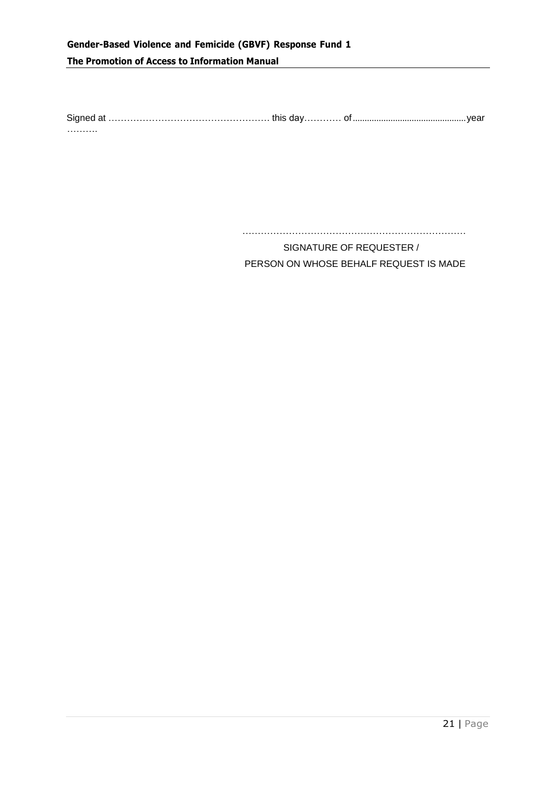## **Gender-Based Violence and Femicide (GBVF) Response Fund 1 The Promotion of Access to Information Manual**

Signed at ……………………………………………. this day………… of................................................year ………

………………………………………………………………

SIGNATURE OF REQUESTER / PERSON ON WHOSE BEHALF REQUEST IS MADE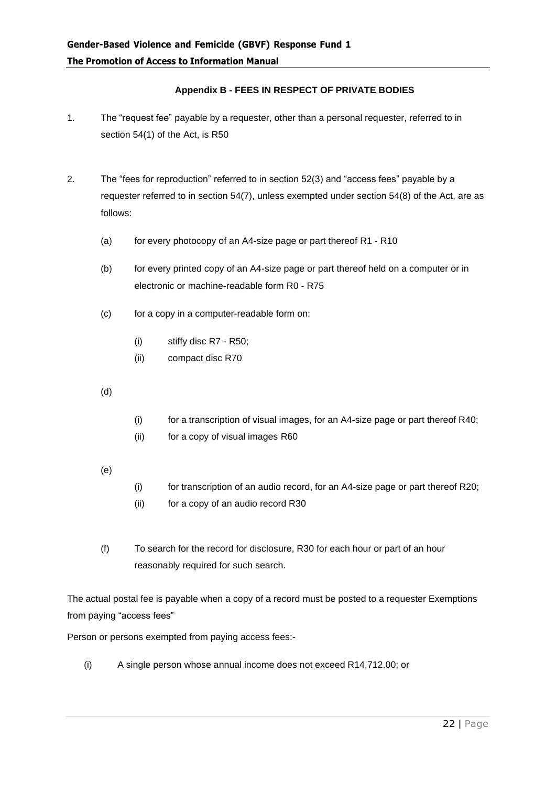#### **Appendix B - FEES IN RESPECT OF PRIVATE BODIES**

- 1. The "request fee" payable by a requester, other than a personal requester, referred to in section 54(1) of the Act, is R50
- 2. The "fees for reproduction" referred to in section 52(3) and "access fees" payable by a requester referred to in section 54(7), unless exempted under section 54(8) of the Act, are as follows:
	- (a) for every photocopy of an A4-size page or part thereof R1 R10
	- (b) for every printed copy of an A4-size page or part thereof held on a computer or in electronic or machine-readable form R0 - R75
	- (c) for a copy in a computer-readable form on:
		- (i) stiffy disc R7 R50;
		- (ii) compact disc R70
	- (d)
- (i) for a transcription of visual images, for an A4-size page or part thereof R40;
- (ii) for a copy of visual images R60
- (e)
- (i) for transcription of an audio record, for an A4-size page or part thereof R20;
- (ii) for a copy of an audio record R30
- (f) To search for the record for disclosure, R30 for each hour or part of an hour reasonably required for such search.

The actual postal fee is payable when a copy of a record must be posted to a requester Exemptions from paying "access fees"

Person or persons exempted from paying access fees:-

(i) A single person whose annual income does not exceed R14,712.00; or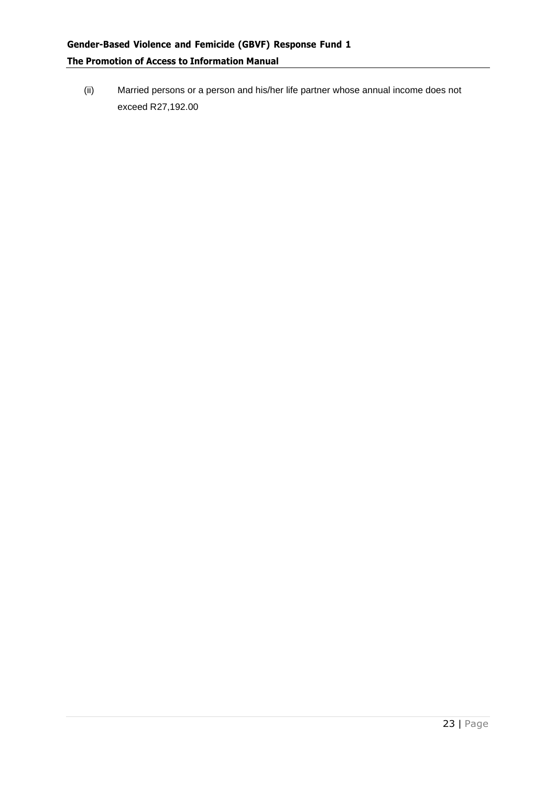(ii) Married persons or a person and his/her life partner whose annual income does not exceed R27,192.00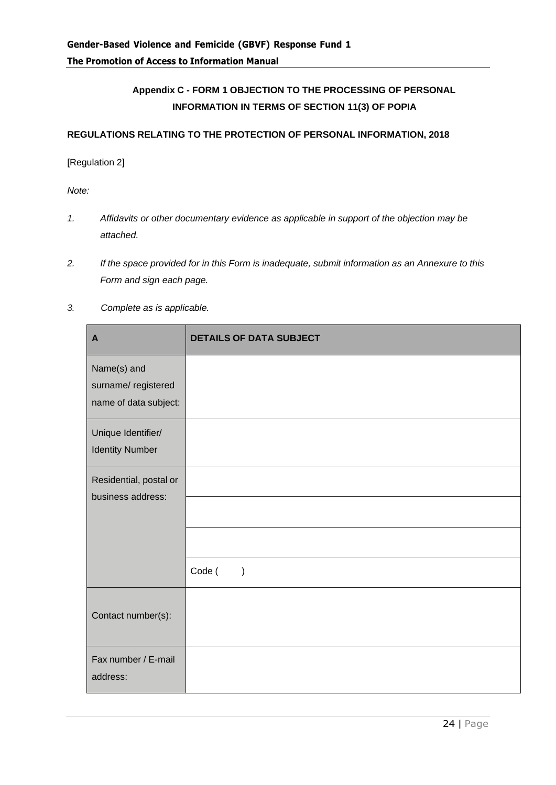## **Appendix C - FORM 1 OBJECTION TO THE PROCESSING OF PERSONAL INFORMATION IN TERMS OF SECTION 11(3) OF POPIA**

#### **REGULATIONS RELATING TO THE PROTECTION OF PERSONAL INFORMATION, 2018**

#### [Regulation 2]

*Note:*

- *1. Affidavits or other documentary evidence as applicable in support of the objection may be attached.*
- *2. If the space provided for in this Form is inadequate, submit information as an Annexure to this Form and sign each page.*
- *3. Complete as is applicable.*

| $\mathbf{A}$                                               | <b>DETAILS OF DATA SUBJECT</b> |
|------------------------------------------------------------|--------------------------------|
| Name(s) and<br>surname/registered<br>name of data subject: |                                |
| Unique Identifier/<br><b>Identity Number</b>               |                                |
| Residential, postal or<br>business address:                |                                |
|                                                            |                                |
|                                                            |                                |
|                                                            | Code (<br>$\mathcal{E}$        |
| Contact number(s):                                         |                                |
| Fax number / E-mail<br>address:                            |                                |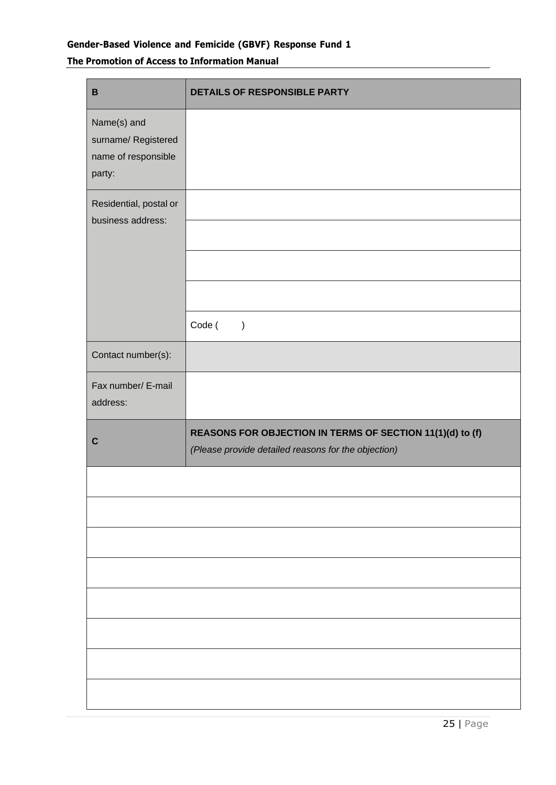## **Gender-Based Violence and Femicide (GBVF) Response Fund 1**

## **The Promotion of Access to Information Manual**

| $\, {\bf B}$                                                        | <b>DETAILS OF RESPONSIBLE PARTY</b>                                                                              |
|---------------------------------------------------------------------|------------------------------------------------------------------------------------------------------------------|
| Name(s) and<br>surname/ Registered<br>name of responsible<br>party: |                                                                                                                  |
| Residential, postal or<br>business address:                         |                                                                                                                  |
|                                                                     |                                                                                                                  |
|                                                                     | Code (<br>$\mathcal{E}$                                                                                          |
| Contact number(s):                                                  |                                                                                                                  |
| Fax number/ E-mail<br>address:                                      |                                                                                                                  |
| $\mathbf C$                                                         | REASONS FOR OBJECTION IN TERMS OF SECTION 11(1)(d) to (f)<br>(Please provide detailed reasons for the objection) |
|                                                                     |                                                                                                                  |
|                                                                     |                                                                                                                  |
|                                                                     |                                                                                                                  |
|                                                                     |                                                                                                                  |
|                                                                     |                                                                                                                  |
|                                                                     |                                                                                                                  |
|                                                                     |                                                                                                                  |
|                                                                     |                                                                                                                  |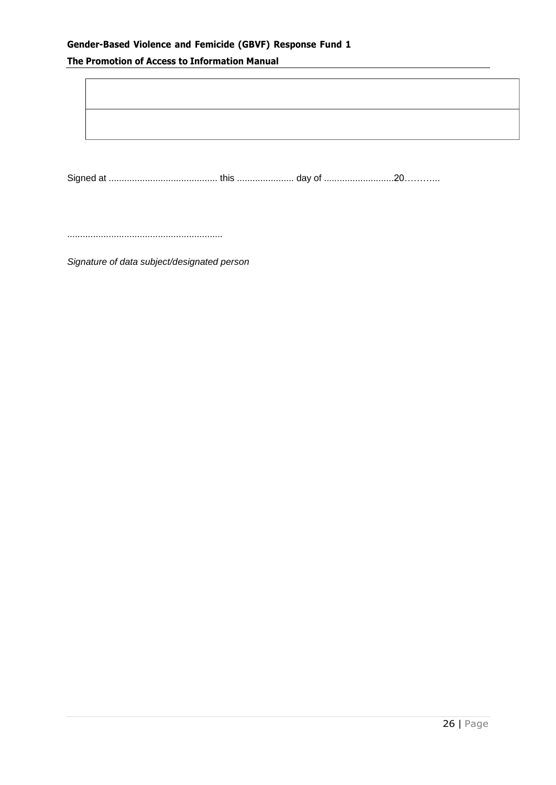## **Gender-Based Violence and Femicide (GBVF) Response Fund 1**

## **The Promotion of Access to Information Manual**

Signed at .......................................... this ...................... day of ...........................20………...

............................................................

*Signature of data subject/designated person*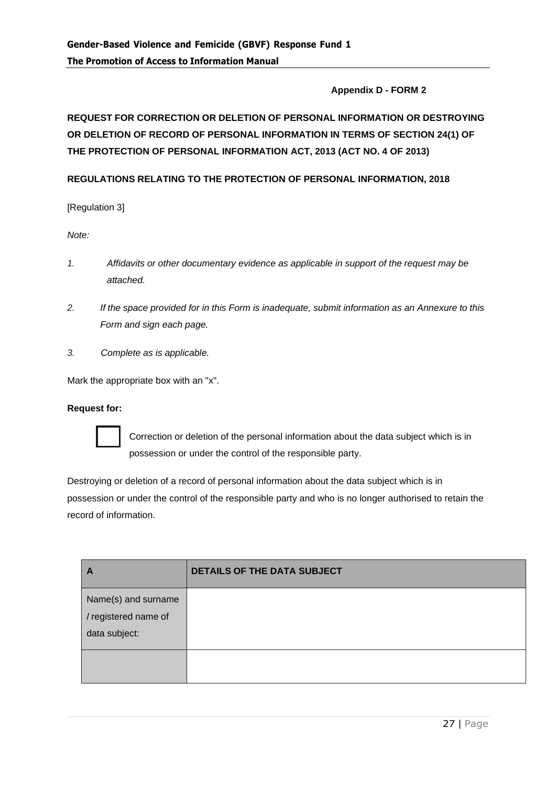#### **Appendix D - FORM 2**

## **REQUEST FOR CORRECTION OR DELETION OF PERSONAL INFORMATION OR DESTROYING OR DELETION OF RECORD OF PERSONAL INFORMATION IN TERMS OF SECTION 24(1) OF THE PROTECTION OF PERSONAL INFORMATION ACT, 2013 (ACT NO. 4 OF 2013)**

#### **REGULATIONS RELATING TO THE PROTECTION OF PERSONAL INFORMATION, 2018**

[Regulation 3]

*Note:*

- *1. Affidavits or other documentary evidence as applicable in support of the request may be attached.*
- *2. If the space provided for in this Form is inadequate, submit information as an Annexure to this Form and sign each page.*
- *3. Complete as is applicable.*

Mark the appropriate box with an "x".

#### **Request for:**



Correction or deletion of the personal information about the data subject which is in possession or under the control of the responsible party.

Destroying or deletion of a record of personal information about the data subject which is in possession or under the control of the responsible party and who is no longer authorised to retain the record of information.

| A                                                            | <b>DETAILS OF THE DATA SUBJECT</b> |
|--------------------------------------------------------------|------------------------------------|
| Name(s) and surname<br>/ registered name of<br>data subject: |                                    |
|                                                              |                                    |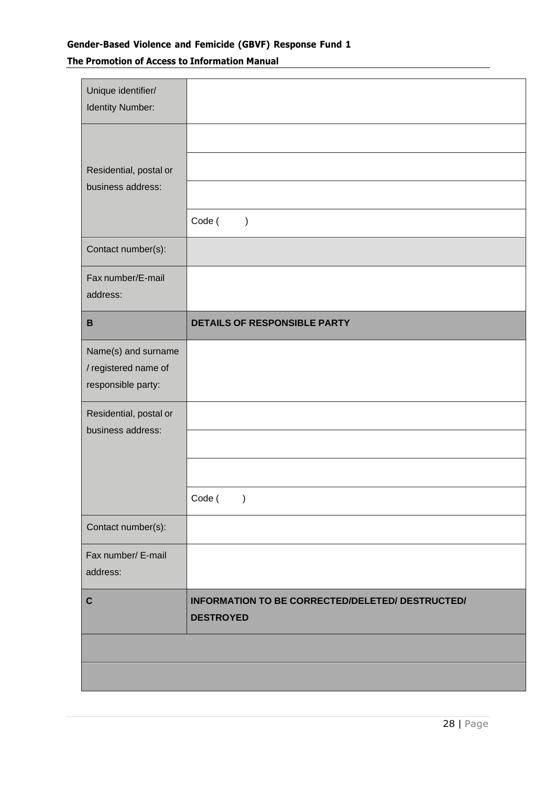## **Gender-Based Violence and Femicide (GBVF) Response Fund 1 The Promotion of Access to Information Manual**

| Unique identifier/<br><b>Identity Number:</b> |                                                                      |
|-----------------------------------------------|----------------------------------------------------------------------|
|                                               |                                                                      |
| Residential, postal or<br>business address:   |                                                                      |
|                                               |                                                                      |
|                                               | Code (<br>$\mathcal{C}$                                              |
| Contact number(s):                            |                                                                      |
| Fax number/E-mail                             |                                                                      |
| address:                                      |                                                                      |
| B                                             | <b>DETAILS OF RESPONSIBLE PARTY</b>                                  |
| Name(s) and surname                           |                                                                      |
| / registered name of                          |                                                                      |
| responsible party:                            |                                                                      |
| Residential, postal or                        |                                                                      |
| business address:                             |                                                                      |
|                                               |                                                                      |
|                                               | Code (<br>$\lambda$                                                  |
| Contact number(s):                            |                                                                      |
| Fax number/ E-mail                            |                                                                      |
| address:                                      |                                                                      |
| $\mathbf C$                                   | INFORMATION TO BE CORRECTED/DELETED/ DESTRUCTED/<br><b>DESTROYED</b> |
|                                               |                                                                      |
|                                               |                                                                      |